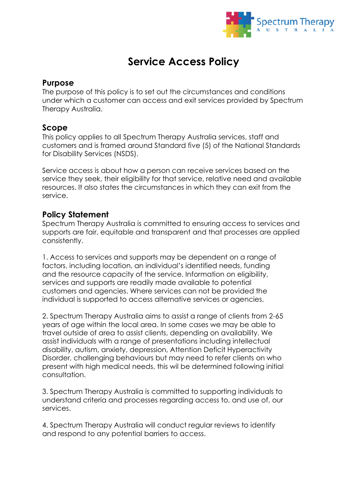

## **Service Access Policy**

## **Purpose**

The purpose of this policy is to set out the circumstances and conditions under which a customer can access and exit services provided by Spectrum Therapy Australia.

## **Scope**

This policy applies to all Spectrum Therapy Australia services, staff and customers and is framed around Standard five (5) of the National Standards for Disability Services (NSDS).

Service access is about how a person can receive services based on the service they seek, their eligibility for that service, relative need and available resources. It also states the circumstances in which they can exit from the service.

## **Policy Statement**

Spectrum Therapy Australia is committed to ensuring access to services and supports are fair, equitable and transparent and that processes are applied consistently.

1. Access to services and supports may be dependent on a range of factors, including location, an individual's identified needs, funding and the resource capacity of the service. Information on eligibility, services and supports are readily made available to potential customers and agencies. Where services can not be provided the individual is supported to access alternative services or agencies.

2. Spectrum Therapy Australia aims to assist a range of clients from 2-65 years of age within the local area. In some cases we may be able to travel outside of area to assist clients, depending on availability. We assist individuals with a range of presentations including intellectual disability, autism, anxiety, depression, Attention Deficit Hyperactivity Disorder, challenging behaviours but may need to refer clients on who present with high medical needs, this wil be determined following initial consultation.

3. Spectrum Therapy Australia is committed to supporting individuals to understand criteria and processes regarding access to, and use of, our services.

4. Spectrum Therapy Australia will conduct regular reviews to identify and respond to any potential barriers to access.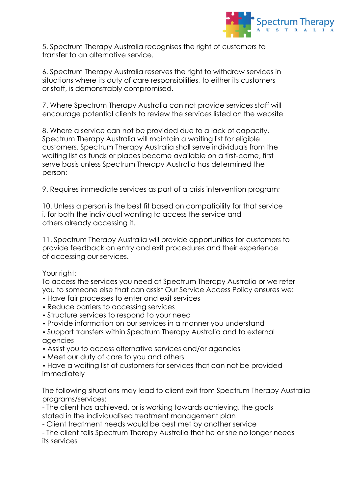

5. Spectrum Therapy Australia recognises the right of customers to transfer to an alternative service.

6. Spectrum Therapy Australia reserves the right to withdraw services in situations where its duty of care responsibilities, to either its customers or staff, is demonstrably compromised.

7. Where Spectrum Therapy Australia can not provide services staff will encourage potential clients to review the services listed on the website

8. Where a service can not be provided due to a lack of capacity, Spectrum Therapy Australia will maintain a waiting list for eligible customers. Spectrum Therapy Australia shall serve individuals from the waiting list as funds or places become available on a first-come, first serve basis unless Spectrum Therapy Australia has determined the person:

9. Requires immediate services as part of a crisis intervention program;

10. Unless a person is the best fit based on compatibility for that service i. for both the individual wanting to access the service and others already accessing it.

11. Spectrum Therapy Australia will provide opportunities for customers to provide feedback on entry and exit procedures and their experience of accessing our services.

Your right:

To access the services you need at Spectrum Therapy Australia or we refer you to someone else that can assist Our Service Access Policy ensures we:

- Have fair processes to enter and exit services
- Reduce barriers to accessing services
- Structure services to respond to your need
- Provide information on our services in a manner you understand
- Support transfers within Spectrum Therapy Australia and to external agencies
- Assist you to access alternative services and/or agencies
- Meet our duty of care to you and others
- Have a waiting list of customers for services that can not be provided immediately

The following situations may lead to client exit from Spectrum Therapy Australia programs/services:

- The client has achieved, or is working towards achieving, the goals stated in the individualised treatment management plan

- Client treatment needs would be best met by another service

- The client tells Spectrum Therapy Australia that he or she no longer needs its services